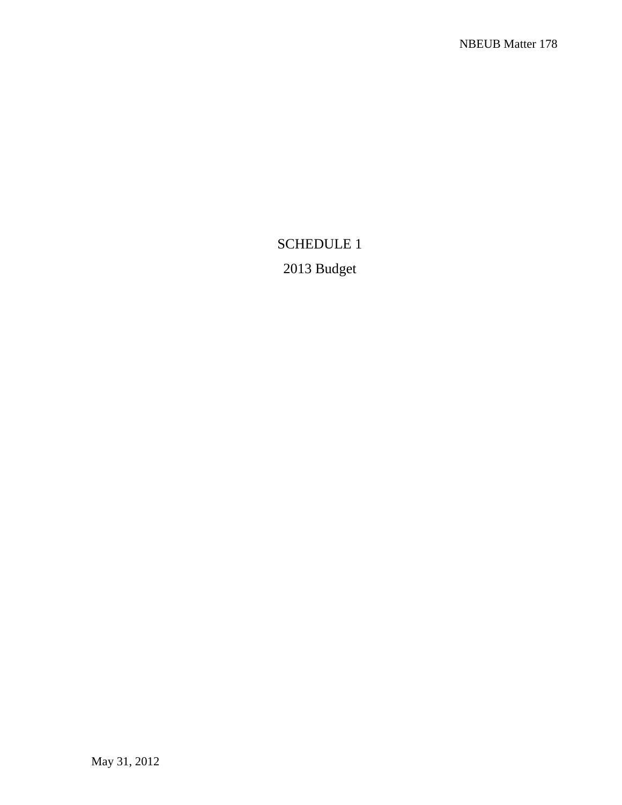# SCHEDULE 1 2013 Budget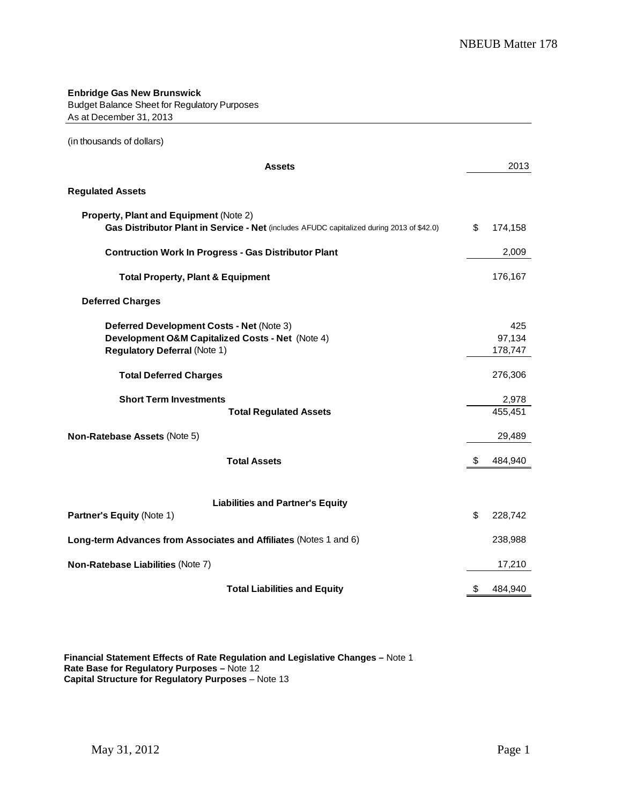#### **Enbridge Gas New Brunswick** Budget Balance Sheet for Regulatory Purposes As at December 31, 2013

(in thousands of dollars)

| <b>Assets</b>                                                                                                                        | 2013                     |
|--------------------------------------------------------------------------------------------------------------------------------------|--------------------------|
| <b>Regulated Assets</b>                                                                                                              |                          |
| Property, Plant and Equipment (Note 2)<br>Gas Distributor Plant in Service - Net (includes AFUDC capitalized during 2013 of \$42.0)  | \$<br>174,158            |
| <b>Contruction Work In Progress - Gas Distributor Plant</b>                                                                          | 2,009                    |
| <b>Total Property, Plant &amp; Equipment</b>                                                                                         | 176,167                  |
| <b>Deferred Charges</b>                                                                                                              |                          |
| Deferred Development Costs - Net (Note 3)<br>Development O&M Capitalized Costs - Net (Note 4)<br><b>Regulatory Deferral (Note 1)</b> | 425<br>97,134<br>178,747 |
| <b>Total Deferred Charges</b>                                                                                                        | 276,306                  |
| <b>Short Term Investments</b><br><b>Total Regulated Assets</b>                                                                       | 2,978<br>455,451         |
| Non-Ratebase Assets (Note 5)                                                                                                         | 29,489                   |
| <b>Total Assets</b>                                                                                                                  | \$<br>484,940            |
| <b>Liabilities and Partner's Equity</b><br>Partner's Equity (Note 1)                                                                 | \$<br>228,742            |
| Long-term Advances from Associates and Affiliates (Notes 1 and 6)                                                                    | 238,988                  |
| Non-Ratebase Liabilities (Note 7)                                                                                                    | 17,210                   |
| <b>Total Liabilities and Equity</b>                                                                                                  | \$<br>484,940            |

**Financial Statement Effects of Rate Regulation and Legislative Changes –** Note 1 **Rate Base for Regulatory Purposes –** Note 12 **Capital Structure for Regulatory Purposes** – Note 13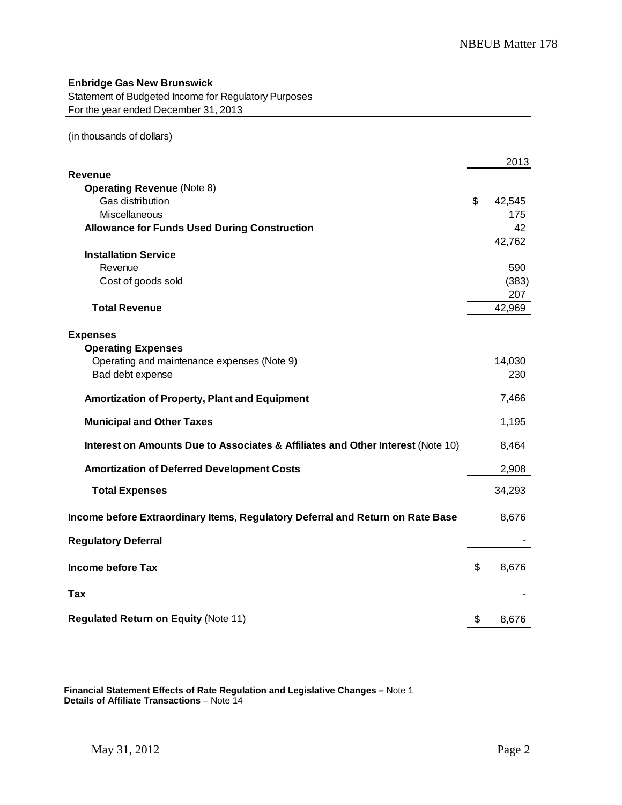Statement of Budgeted Income for Regulatory Purposes For the year ended December 31, 2013

(in thousands of dollars)

|                                                                                 | 2013         |
|---------------------------------------------------------------------------------|--------------|
| Revenue                                                                         |              |
| <b>Operating Revenue (Note 8)</b>                                               |              |
| Gas distribution                                                                | \$<br>42,545 |
| Miscellaneous                                                                   | 175          |
| <b>Allowance for Funds Used During Construction</b>                             | 42           |
|                                                                                 | 42,762       |
| <b>Installation Service</b>                                                     |              |
| Revenue                                                                         | 590          |
| Cost of goods sold                                                              | (383)        |
|                                                                                 | 207          |
| <b>Total Revenue</b>                                                            | 42,969       |
|                                                                                 |              |
| <b>Expenses</b>                                                                 |              |
| <b>Operating Expenses</b>                                                       |              |
| Operating and maintenance expenses (Note 9)                                     | 14,030       |
| Bad debt expense                                                                | 230          |
| Amortization of Property, Plant and Equipment                                   | 7,466        |
| <b>Municipal and Other Taxes</b>                                                | 1,195        |
| Interest on Amounts Due to Associates & Affiliates and Other Interest (Note 10) | 8,464        |
| <b>Amortization of Deferred Development Costs</b>                               | 2,908        |
|                                                                                 |              |
| <b>Total Expenses</b>                                                           | 34,293       |
| Income before Extraordinary Items, Regulatory Deferral and Return on Rate Base  | 8,676        |
| <b>Regulatory Deferral</b>                                                      |              |
|                                                                                 |              |
| <b>Income before Tax</b>                                                        | \$<br>8,676  |
|                                                                                 |              |
| Tax                                                                             |              |
|                                                                                 |              |
| <b>Regulated Return on Equity (Note 11)</b>                                     | \$<br>8,676  |

**Financial Statement Effects of Rate Regulation and Legislative Changes –** Note 1 **Details of Affiliate Transactions** – Note 14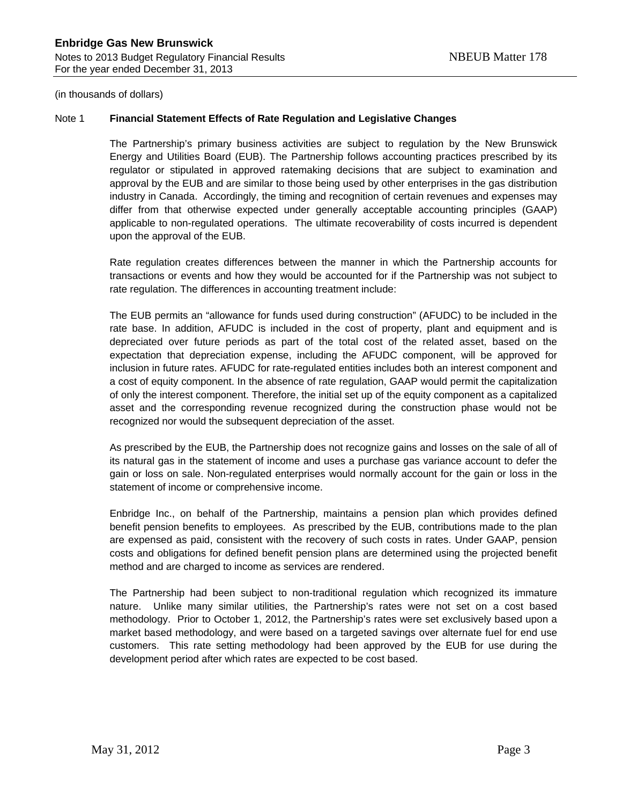(in thousands of dollars)

#### Note 1 **Financial Statement Effects of Rate Regulation and Legislative Changes**

The Partnership's primary business activities are subject to regulation by the New Brunswick Energy and Utilities Board (EUB). The Partnership follows accounting practices prescribed by its regulator or stipulated in approved ratemaking decisions that are subject to examination and approval by the EUB and are similar to those being used by other enterprises in the gas distribution industry in Canada. Accordingly, the timing and recognition of certain revenues and expenses may differ from that otherwise expected under generally acceptable accounting principles (GAAP) applicable to non-regulated operations. The ultimate recoverability of costs incurred is dependent upon the approval of the EUB.

Rate regulation creates differences between the manner in which the Partnership accounts for transactions or events and how they would be accounted for if the Partnership was not subject to rate regulation. The differences in accounting treatment include:

The EUB permits an "allowance for funds used during construction" (AFUDC) to be included in the rate base. In addition, AFUDC is included in the cost of property, plant and equipment and is depreciated over future periods as part of the total cost of the related asset, based on the expectation that depreciation expense, including the AFUDC component, will be approved for inclusion in future rates. AFUDC for rate-regulated entities includes both an interest component and a cost of equity component. In the absence of rate regulation, GAAP would permit the capitalization of only the interest component. Therefore, the initial set up of the equity component as a capitalized asset and the corresponding revenue recognized during the construction phase would not be recognized nor would the subsequent depreciation of the asset.

As prescribed by the EUB, the Partnership does not recognize gains and losses on the sale of all of its natural gas in the statement of income and uses a purchase gas variance account to defer the gain or loss on sale. Non-regulated enterprises would normally account for the gain or loss in the statement of income or comprehensive income.

Enbridge Inc., on behalf of the Partnership, maintains a pension plan which provides defined benefit pension benefits to employees. As prescribed by the EUB, contributions made to the plan are expensed as paid, consistent with the recovery of such costs in rates. Under GAAP, pension costs and obligations for defined benefit pension plans are determined using the projected benefit method and are charged to income as services are rendered.

The Partnership had been subject to non-traditional regulation which recognized its immature nature. Unlike many similar utilities, the Partnership's rates were not set on a cost based methodology. Prior to October 1, 2012, the Partnership's rates were set exclusively based upon a market based methodology, and were based on a targeted savings over alternate fuel for end use customers. This rate setting methodology had been approved by the EUB for use during the development period after which rates are expected to be cost based.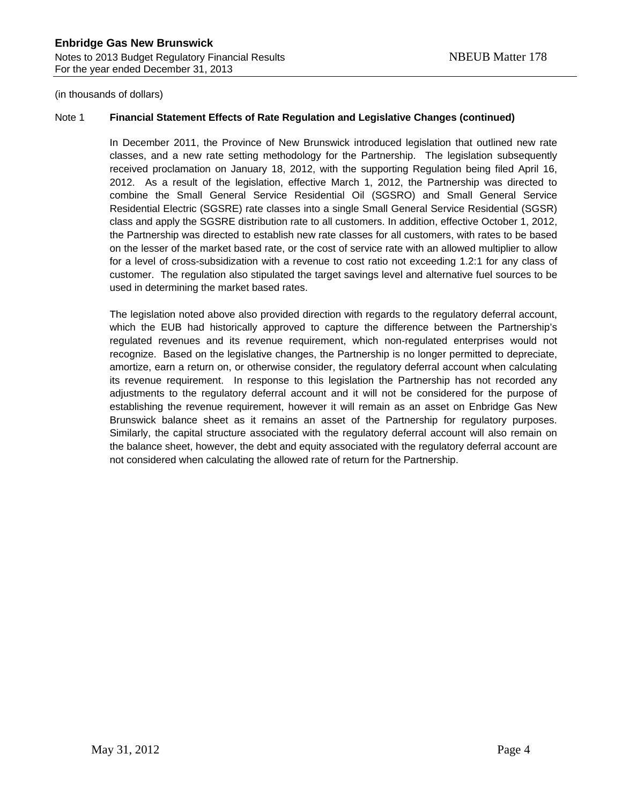(in thousands of dollars)

#### Note 1 **Financial Statement Effects of Rate Regulation and Legislative Changes (continued)**

In December 2011, the Province of New Brunswick introduced legislation that outlined new rate classes, and a new rate setting methodology for the Partnership. The legislation subsequently received proclamation on January 18, 2012, with the supporting Regulation being filed April 16, 2012. As a result of the legislation, effective March 1, 2012, the Partnership was directed to combine the Small General Service Residential Oil (SGSRO) and Small General Service Residential Electric (SGSRE) rate classes into a single Small General Service Residential (SGSR) class and apply the SGSRE distribution rate to all customers. In addition, effective October 1, 2012, the Partnership was directed to establish new rate classes for all customers, with rates to be based on the lesser of the market based rate, or the cost of service rate with an allowed multiplier to allow for a level of cross-subsidization with a revenue to cost ratio not exceeding 1.2:1 for any class of customer. The regulation also stipulated the target savings level and alternative fuel sources to be used in determining the market based rates.

The legislation noted above also provided direction with regards to the regulatory deferral account, which the EUB had historically approved to capture the difference between the Partnership's regulated revenues and its revenue requirement, which non-regulated enterprises would not recognize. Based on the legislative changes, the Partnership is no longer permitted to depreciate, amortize, earn a return on, or otherwise consider, the regulatory deferral account when calculating its revenue requirement. In response to this legislation the Partnership has not recorded any adjustments to the regulatory deferral account and it will not be considered for the purpose of establishing the revenue requirement, however it will remain as an asset on Enbridge Gas New Brunswick balance sheet as it remains an asset of the Partnership for regulatory purposes. Similarly, the capital structure associated with the regulatory deferral account will also remain on the balance sheet, however, the debt and equity associated with the regulatory deferral account are not considered when calculating the allowed rate of return for the Partnership.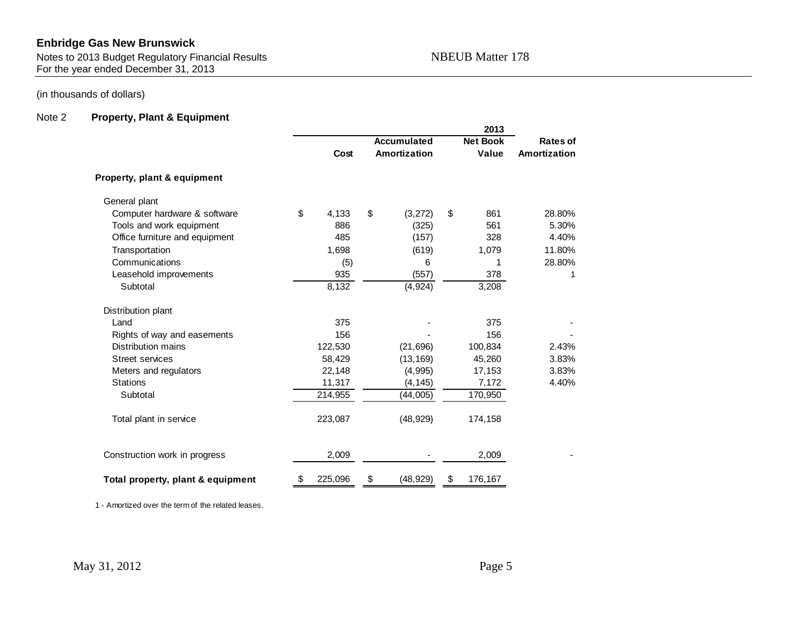Notes to 2013 Budget Regulatory Financial Results NBEUB Matter 178 For the year ended December 31, 2013

### (in thousands of dollars)

## Note 2 **Property, Plant & Equipment**

|                                   |               |    | 2013         |    |                 |              |
|-----------------------------------|---------------|----|--------------|----|-----------------|--------------|
|                                   | Accumulated   |    |              |    | <b>Net Book</b> | Rates of     |
|                                   | Cost          |    | Amortization |    | Value           | Amortization |
| Property, plant & equipment       |               |    |              |    |                 |              |
| General plant                     |               |    |              |    |                 |              |
| Computer hardware & software      | \$<br>4,133   | \$ | (3, 272)     | \$ | 861             | 28.80%       |
| Tools and work equipment          | 886           |    | (325)        |    | 561             | 5.30%        |
| Office furniture and equipment    | 485           |    | (157)        |    | 328             | 4.40%        |
| Transportation                    | 1,698         |    | (619)        |    | 1,079           | 11.80%       |
| Communications                    | (5)           |    | 6            |    | 1               | 28.80%       |
| Leasehold improvements            | 935           |    | (557)        |    | 378             | 1            |
| Subtotal                          | 8,132         |    | (4, 924)     |    | 3,208           |              |
| Distribution plant                |               |    |              |    |                 |              |
| Land                              | 375           |    |              |    | 375             |              |
| Rights of way and easements       | 156           |    |              |    | 156             |              |
| <b>Distribution mains</b>         | 122,530       |    | (21, 696)    |    | 100,834         | 2.43%        |
| <b>Street services</b>            | 58,429        |    | (13, 169)    |    | 45,260          | 3.83%        |
| Meters and regulators             | 22,148        |    | (4,995)      |    | 17,153          | 3.83%        |
| <b>Stations</b>                   | 11,317        |    | (4, 145)     |    | 7,172           | 4.40%        |
| Subtotal                          | 214,955       |    | (44,005)     |    | 170,950         |              |
| Total plant in service            | 223,087       |    | (48, 929)    |    | 174,158         |              |
| Construction work in progress     | 2,009         |    |              |    | 2,009           |              |
| Total property, plant & equipment | \$<br>225,096 | \$ | (48, 929)    | \$ | 176,167         |              |

1 - Amortized over the term of the related leases.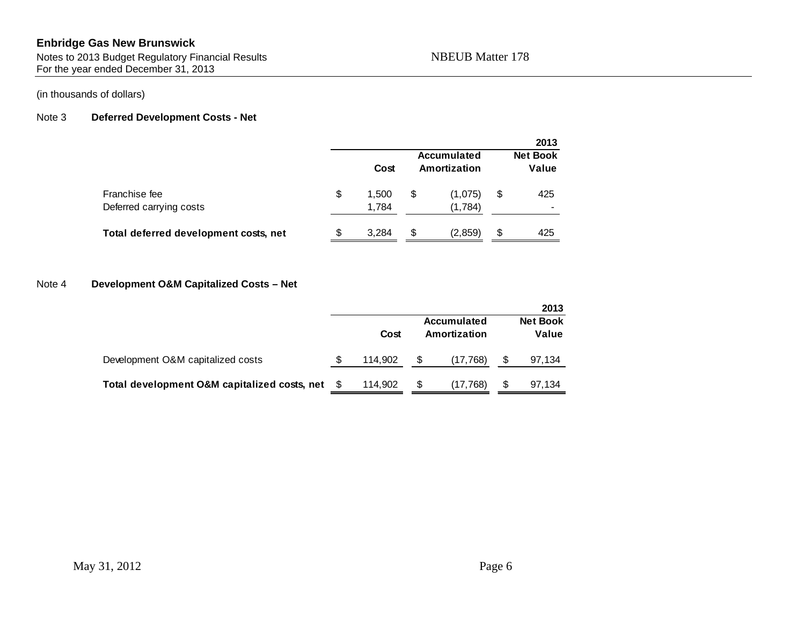Notes to 2013 Budget Regulatory Financial Results NBEUB Matter 178 For the year ended December 31, 2013

### (in thousands of dollars)

#### Note 3 **Deferred Development Costs - Net**

|                                          |    |                |                                    | 2013                     |
|------------------------------------------|----|----------------|------------------------------------|--------------------------|
|                                          |    | Cost           | <b>Accumulated</b><br>Amortization | <b>Net Book</b><br>Value |
| Franchise fee<br>Deferred carrying costs | \$ | 1.500<br>1,784 | \$<br>(1,075)<br>(1,784)           | \$<br>425<br>-           |
| Total deferred development costs, net    | S  | 3.284          | \$<br>(2,859)                      | \$<br>425                |

#### Note 4 **Development O&M Capitalized Costs – Net**

|                                              |   |         |    |                                    | 2013                     |
|----------------------------------------------|---|---------|----|------------------------------------|--------------------------|
|                                              |   | Cost    |    | <b>Accumulated</b><br>Amortization | <b>Net Book</b><br>Value |
| Development O&M capitalized costs            | S | 114.902 | S  | (17,768)                           | 97,134                   |
| Total development O&M capitalized costs, net |   | 114.902 | \$ | (17,768)                           | 97,134                   |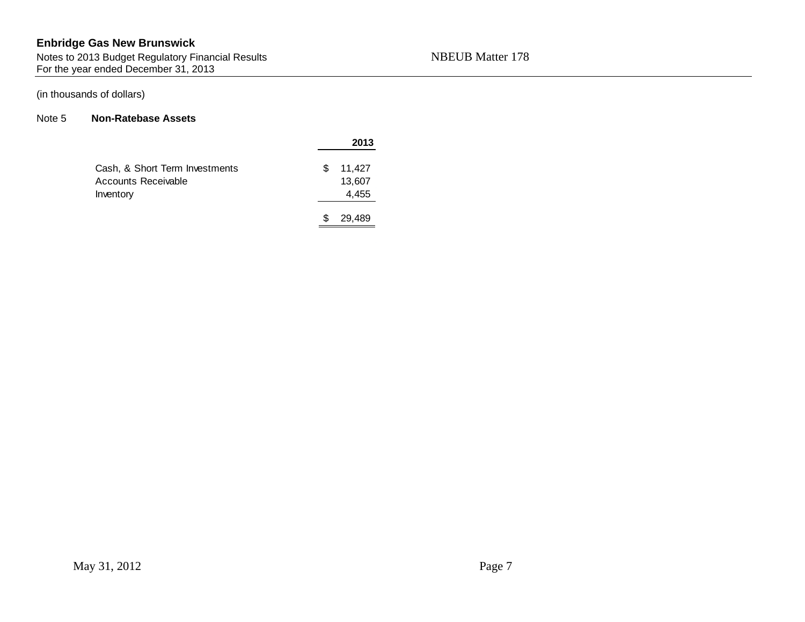Notes to 2013 Budget Regulatory Financial Results NBEUB Matter 178 For the year ended December 31, 2013

#### (in thousands of dollars)

#### Note 5 **Non-Ratebase Assets**

|                                |   | 2013   |
|--------------------------------|---|--------|
| Cash, & Short Term Investments | S | 11,427 |
| Accounts Receivable            |   | 13,607 |
| Inventory                      |   | 4,455  |
|                                |   | 29,489 |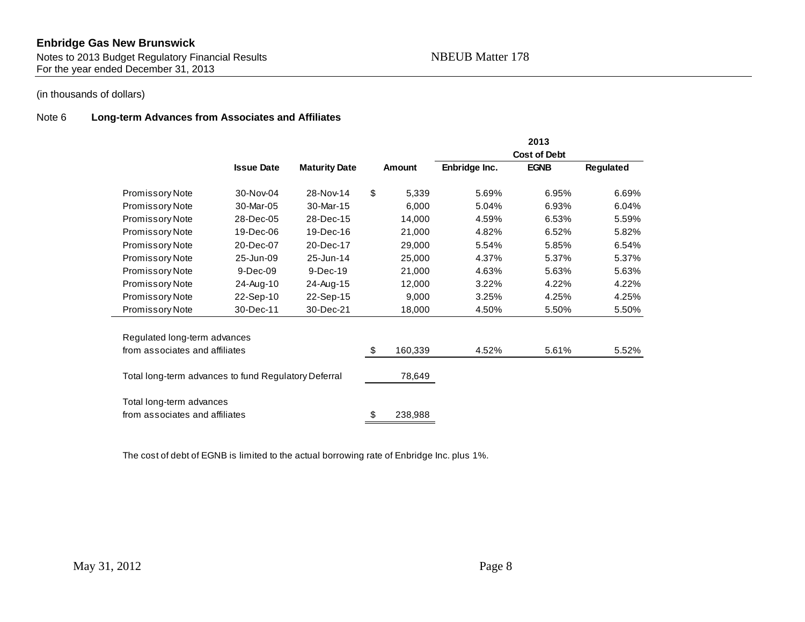Notes to 2013 Budget Regulatory Financial Results NBEUB Matter 178 For the year ended December 31, 2013

### (in thousands of dollars)

#### Note 6 **Long-term Advances from Associates and Affiliates**

|                                                            |                   |                      |               |               | 2013<br><b>Cost of Debt</b> |           |
|------------------------------------------------------------|-------------------|----------------------|---------------|---------------|-----------------------------|-----------|
|                                                            | <b>Issue Date</b> | <b>Maturity Date</b> | <b>Amount</b> | Enbridge Inc. | <b>EGNB</b>                 | Regulated |
| Promissory Note                                            | 30-Nov-04         | 28-Nov-14            | \$<br>5,339   | 5.69%         | 6.95%                       | 6.69%     |
| Promissory Note                                            | 30-Mar-05         | 30-Mar-15            | 6,000         | 5.04%         | 6.93%                       | 6.04%     |
| Promissory Note                                            | 28-Dec-05         | 28-Dec-15            | 14,000        | 4.59%         | 6.53%                       | 5.59%     |
| Promissory Note                                            | 19-Dec-06         | 19-Dec-16            | 21,000        | 4.82%         | 6.52%                       | 5.82%     |
| Promissory Note                                            | 20-Dec-07         | 20-Dec-17            | 29,000        | 5.54%         | 5.85%                       | 6.54%     |
| Promissory Note                                            | 25-Jun-09         | 25-Jun-14            | 25,000        | 4.37%         | 5.37%                       | 5.37%     |
| Promissory Note                                            | 9-Dec-09          | 9-Dec-19             | 21,000        | 4.63%         | 5.63%                       | 5.63%     |
| Promissory Note                                            | 24-Aug-10         | 24-Aug-15            | 12,000        | 3.22%         | 4.22%                       | 4.22%     |
| Promissory Note                                            | 22-Sep-10         | 22-Sep-15            | 9,000         | 3.25%         | 4.25%                       | 4.25%     |
| Promissory Note                                            | 30-Dec-11         | 30-Dec-21            | 18,000        | 4.50%         | 5.50%                       | 5.50%     |
| Regulated long-term advances                               |                   |                      |               |               |                             |           |
| from associates and affiliates                             |                   |                      | \$<br>160,339 | 4.52%         | 5.61%                       | 5.52%     |
| Total long-term advances to fund Regulatory Deferral       |                   |                      | 78,649        |               |                             |           |
| Total long-term advances<br>from associates and affiliates |                   |                      | \$<br>238,988 |               |                             |           |

The cost of debt of EGNB is limited to the actual borrowing rate of Enbridge Inc. plus 1%.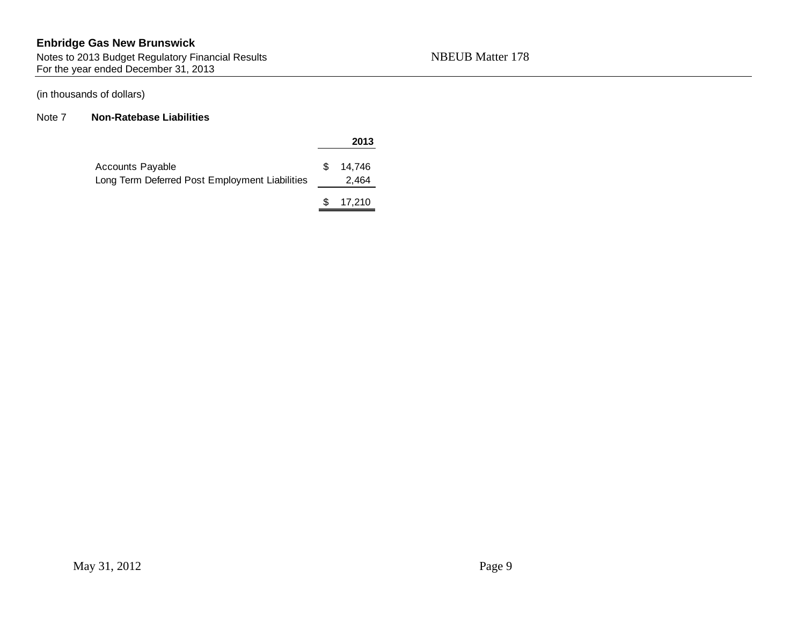Notes to 2013 Budget Regulatory Financial Results NBEUB Matter 178 For the year ended December 31, 2013

### (in thousands of dollars)

#### Note 7 **Non-Ratebase Liabilities**

#### **2013**

| Accounts Payable                               | \$14.746 |
|------------------------------------------------|----------|
| Long Term Deferred Post Employment Liabilities | 2.464    |
|                                                |          |

 $$ 17,210$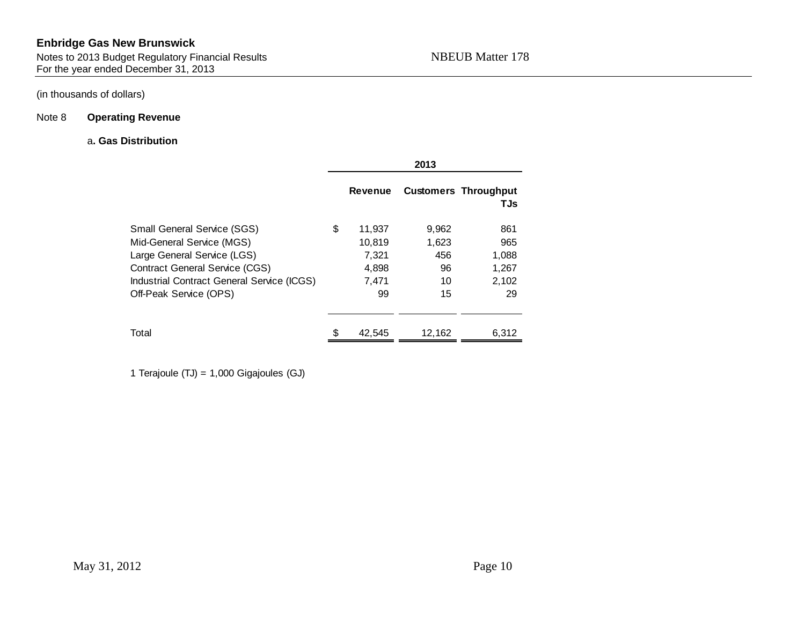Notes to 2013 Budget Regulatory Financial Results NBEUB Matter 178 For the year ended December 31, 2013

### (in thousands of dollars)

## Note 8 **Operating Revenue**

#### a**. Gas Distribution**

|                                                                                                                                                                                                                 |    | 2013                                              |                                         |                                             |  |  |
|-----------------------------------------------------------------------------------------------------------------------------------------------------------------------------------------------------------------|----|---------------------------------------------------|-----------------------------------------|---------------------------------------------|--|--|
|                                                                                                                                                                                                                 |    | <b>Revenue</b>                                    |                                         | <b>Customers Throughput</b><br>TJs          |  |  |
| <b>Small General Service (SGS)</b><br>Mid-General Service (MGS)<br>Large General Service (LGS)<br><b>Contract General Service (CGS)</b><br>Industrial Contract General Service (ICGS)<br>Off-Peak Service (OPS) | \$ | 11,937<br>10,819<br>7,321<br>4,898<br>7,471<br>99 | 9,962<br>1,623<br>456<br>96<br>10<br>15 | 861<br>965<br>1,088<br>1,267<br>2,102<br>29 |  |  |
| Total                                                                                                                                                                                                           | ፍ  | 42.545                                            | 12,162                                  | 6,312                                       |  |  |

1 Terajoule (TJ) = 1,000 Gigajoules (GJ)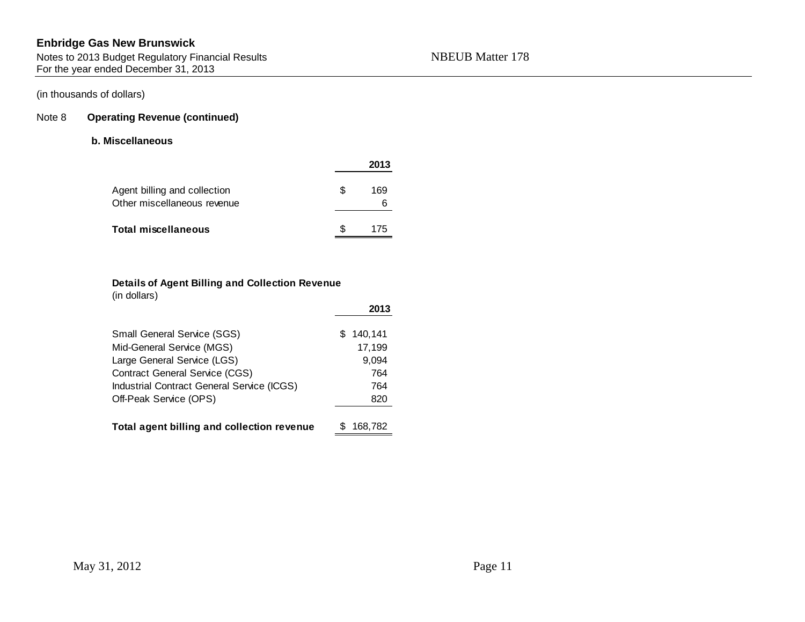Notes to 2013 Budget Regulatory Financial Results NBEUB Matter 178 For the year ended December 31, 2013

## (in thousands of dollars)

#### Note 8 **Operating Revenue (continued)**

#### **b. Miscellaneous**

|                                                             |    | 2013     |
|-------------------------------------------------------------|----|----------|
| Agent billing and collection<br>Other miscellaneous revenue | æ. | 169<br>6 |
| Total miscellaneous                                         |    | 175      |

#### **Details of Agent Billing and Collection Revenue** (in dollars)

|                                            | 2013          |
|--------------------------------------------|---------------|
| <b>Small General Service (SGS)</b>         | 140,141<br>S. |
| Mid-General Service (MGS)                  | 17,199        |
| Large General Service (LGS)                | 9,094         |
| <b>Contract General Service (CGS)</b>      | 764           |
| Industrial Contract General Service (ICGS) | 764           |
| Off-Peak Service (OPS)                     | 820           |
| Total agent billing and collection revenue | 168,782       |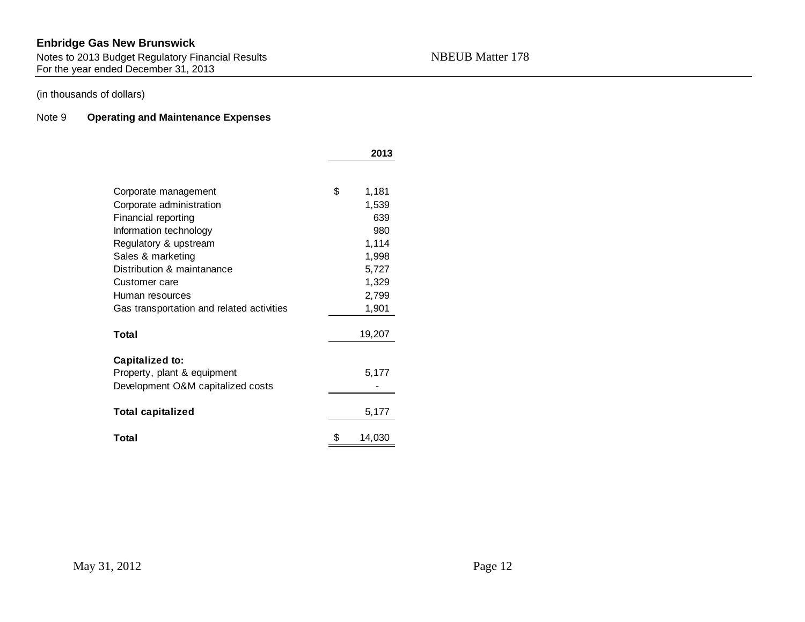Notes to 2013 Budget Regulatory Financial Results NBEUB Matter 178 For the year ended December 31, 2013

### (in thousands of dollars)

#### Note 9 **Operating and Maintenance Expenses**

|                                           | 2013         |
|-------------------------------------------|--------------|
|                                           |              |
| Corporate management                      | \$<br>1,181  |
| Corporate administration                  | 1,539        |
| Financial reporting                       | 639          |
| Information technology                    | 980          |
| Regulatory & upstream                     | 1,114        |
| Sales & marketing                         | 1,998        |
| Distribution & maintanance                | 5,727        |
| Customer care                             | 1,329        |
| Human resources                           | 2,799        |
| Gas transportation and related activities | 1,901        |
| Total                                     | 19,207       |
|                                           |              |
| Capitalized to:                           |              |
| Property, plant & equipment               | 5,177        |
| Development O&M capitalized costs         |              |
| <b>Total capitalized</b>                  | 5,177        |
| Total                                     | \$<br>14,030 |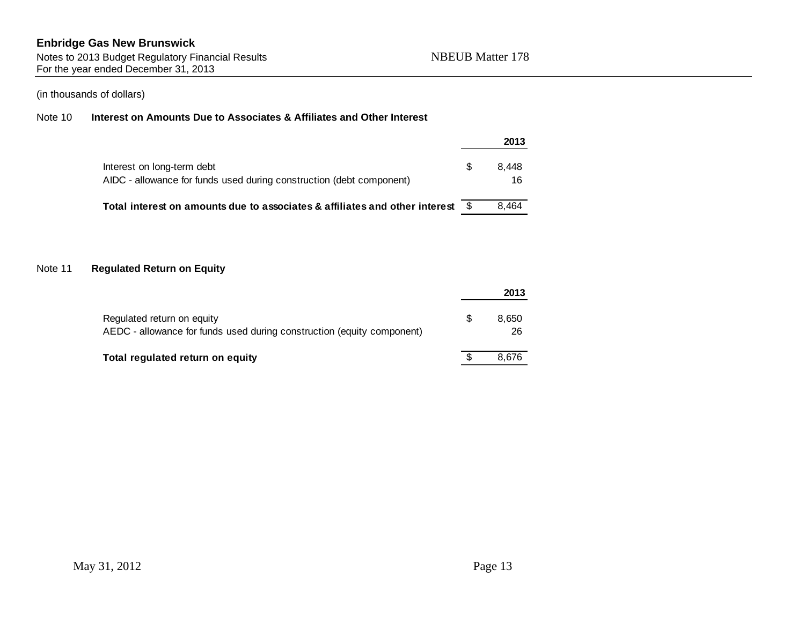Notes to 2013 Budget Regulatory Financial Results NBEUB Matter 178 For the year ended December 31, 2013

### (in thousands of dollars)

#### Note 10 **Interest on Amounts Due to Associates & Affiliates and Other Interest**

|                                                                                                    |   | 2013        |
|----------------------------------------------------------------------------------------------------|---|-------------|
| Interest on long-term debt<br>AIDC - allowance for funds used during construction (debt component) | S | 8.448<br>16 |
| Total interest on amounts due to associates & affiliates and other interest                        |   | 8.464       |

#### Note 11 **Regulated Return on Equity**

|                                                                                                      |   | 2013        |
|------------------------------------------------------------------------------------------------------|---|-------------|
| Regulated return on equity<br>AEDC - allowance for funds used during construction (equity component) | S | 8.650<br>26 |
| Total regulated return on equity                                                                     |   | 8.676       |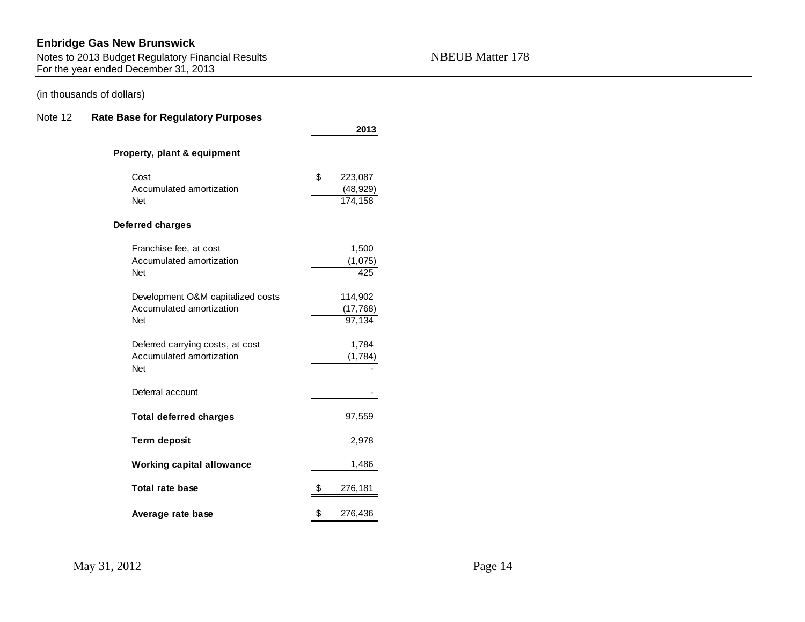Notes to 2013 Budget Regulatory Financial Results Number 2014 178 NBEUB Matter  $178$ For the year ended December 31, 2013

### (in thousands of dollars)

#### Note 12 **Rate Base for Regulatory Purposes**

|                                                                             | 2013                                  |
|-----------------------------------------------------------------------------|---------------------------------------|
| Property, plant & equipment                                                 |                                       |
| Cost<br>Accumulated amortization<br><b>Net</b>                              | \$<br>223,087<br>(48, 929)<br>174,158 |
| <b>Deferred charges</b>                                                     |                                       |
| Franchise fee, at cost<br>Accumulated amortization<br><b>Net</b>            | 1,500<br>(1,075)<br>425               |
| Development O&M capitalized costs<br>Accumulated amortization<br><b>Net</b> | 114,902<br>(17, 768)<br>97,134        |
| Deferred carrying costs, at cost<br>Accumulated amortization<br><b>Net</b>  | 1,784<br>(1,784)                      |
| Deferral account                                                            |                                       |
| <b>Total deferred charges</b>                                               | 97,559                                |
| <b>Term deposit</b>                                                         | 2,978                                 |
| <b>Working capital allowance</b>                                            | 1,486                                 |
| Total rate base                                                             | \$<br>276,181                         |
| Average rate base                                                           | \$<br>276,436                         |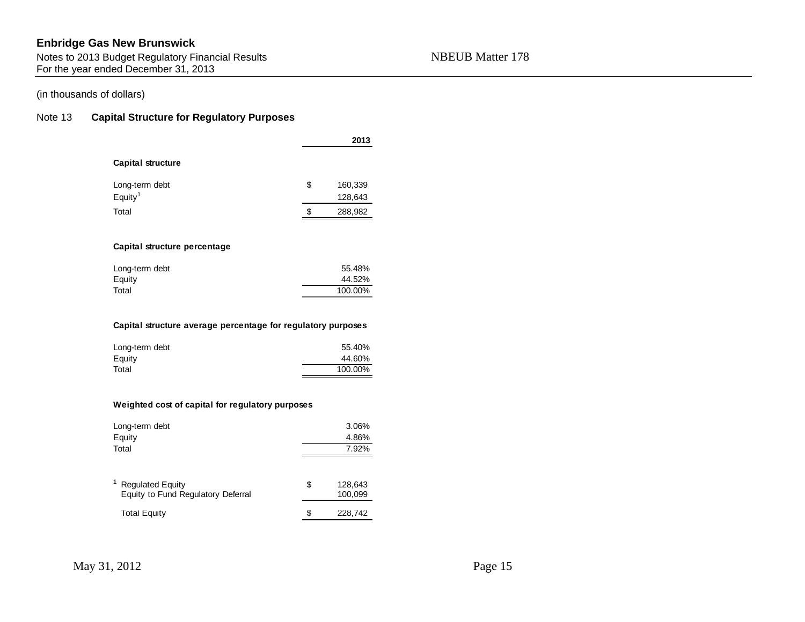Notes to 2013 Budget Regulatory Financial Results NBEUB Matter 178 For the year ended December 31, 2013

#### (in thousands of dollars)

#### Note 13 **Capital Structure for Regulatory Purposes**

|                                                              |    | 2013    |  |  |  |  |  |  |
|--------------------------------------------------------------|----|---------|--|--|--|--|--|--|
| <b>Capital structure</b>                                     |    |         |  |  |  |  |  |  |
| Long-term debt                                               | \$ | 160,339 |  |  |  |  |  |  |
| Equity <sup>1</sup>                                          |    | 128,643 |  |  |  |  |  |  |
| Total                                                        | \$ | 288,982 |  |  |  |  |  |  |
|                                                              |    |         |  |  |  |  |  |  |
| Capital structure percentage                                 |    |         |  |  |  |  |  |  |
| Long-term debt                                               |    | 55.48%  |  |  |  |  |  |  |
| Equity                                                       |    | 44.52%  |  |  |  |  |  |  |
| Total                                                        |    | 100.00% |  |  |  |  |  |  |
|                                                              |    |         |  |  |  |  |  |  |
| Capital structure average percentage for regulatory purposes |    |         |  |  |  |  |  |  |
| Long-term debt                                               |    | 55.40%  |  |  |  |  |  |  |
| Equity                                                       |    | 44.60%  |  |  |  |  |  |  |

#### **Weighted cost of capital for regulatory purposes**

| Long-term debt<br>Equity<br>Total                             |    | 3.06%<br>4.86%<br>7.92% |  |  |  |
|---------------------------------------------------------------|----|-------------------------|--|--|--|
| <b>Regulated Equity</b><br>Equity to Fund Regulatory Deferral | \$ | 128,643<br>100,099      |  |  |  |
| <b>Total Equity</b>                                           | S  | 228,742                 |  |  |  |

Total 100.00%